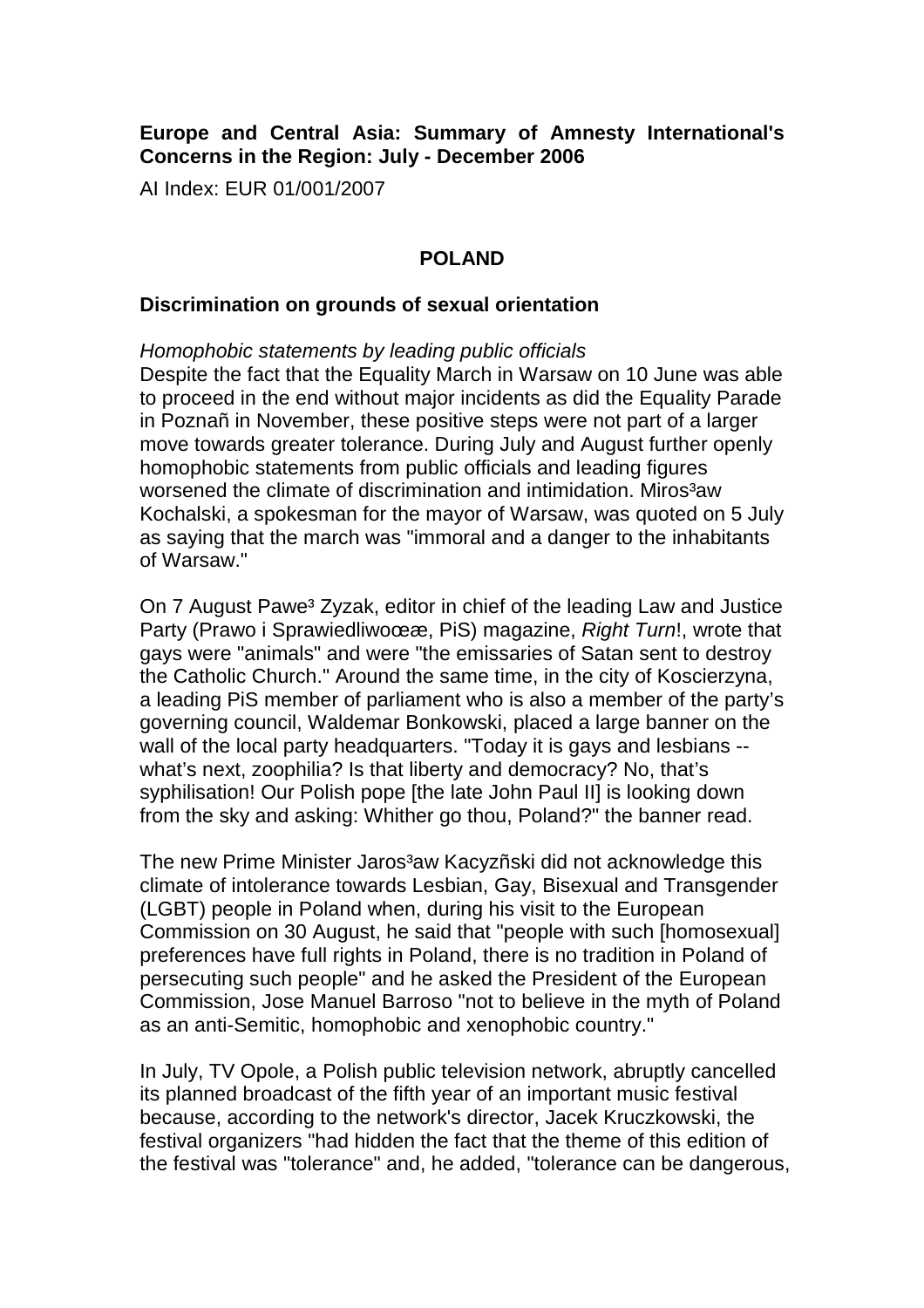# **Europe and Central Asia: Summary of Amnesty International's Concerns in the Region: July - December 2006**

AI Index: EUR 01/001/2007

## **POLAND**

#### **Discrimination on grounds of sexual orientation**

Homophobic statements by leading public officials Despite the fact that the Equality March in Warsaw on 10 June was able to proceed in the end without major incidents as did the Equality Parade in Poznañ in November, these positive steps were not part of a larger move towards greater tolerance. During July and August further openly homophobic statements from public officials and leading figures worsened the climate of discrimination and intimidation. Miros<sup>3</sup>aw Kochalski, a spokesman for the mayor of Warsaw, was quoted on 5 July as saying that the march was "immoral and a danger to the inhabitants of Warsaw."

On 7 August Pawe<sup>3</sup> Zyzak, editor in chief of the leading Law and Justice Party (Prawo i SprawiedliwoϾ, PiS) magazine, Right Turn!, wrote that gays were "animals" and were "the emissaries of Satan sent to destroy the Catholic Church." Around the same time, in the city of Koscierzyna, a leading PiS member of parliament who is also a member of the party's governing council, Waldemar Bonkowski, placed a large banner on the wall of the local party headquarters. "Today it is gays and lesbians - what's next, zoophilia? Is that liberty and democracy? No, that's syphilisation! Our Polish pope [the late John Paul II] is looking down from the sky and asking: Whither go thou, Poland?" the banner read.

The new Prime Minister Jaros<sup>3</sup>aw Kacyzñski did not acknowledge this climate of intolerance towards Lesbian, Gay, Bisexual and Transgender (LGBT) people in Poland when, during his visit to the European Commission on 30 August, he said that "people with such [homosexual] preferences have full rights in Poland, there is no tradition in Poland of persecuting such people" and he asked the President of the European Commission, Jose Manuel Barroso "not to believe in the myth of Poland as an anti-Semitic, homophobic and xenophobic country."

In July, TV Opole, a Polish public television network, abruptly cancelled its planned broadcast of the fifth year of an important music festival because, according to the network's director, Jacek Kruczkowski, the festival organizers "had hidden the fact that the theme of this edition of the festival was "tolerance" and, he added, "tolerance can be dangerous,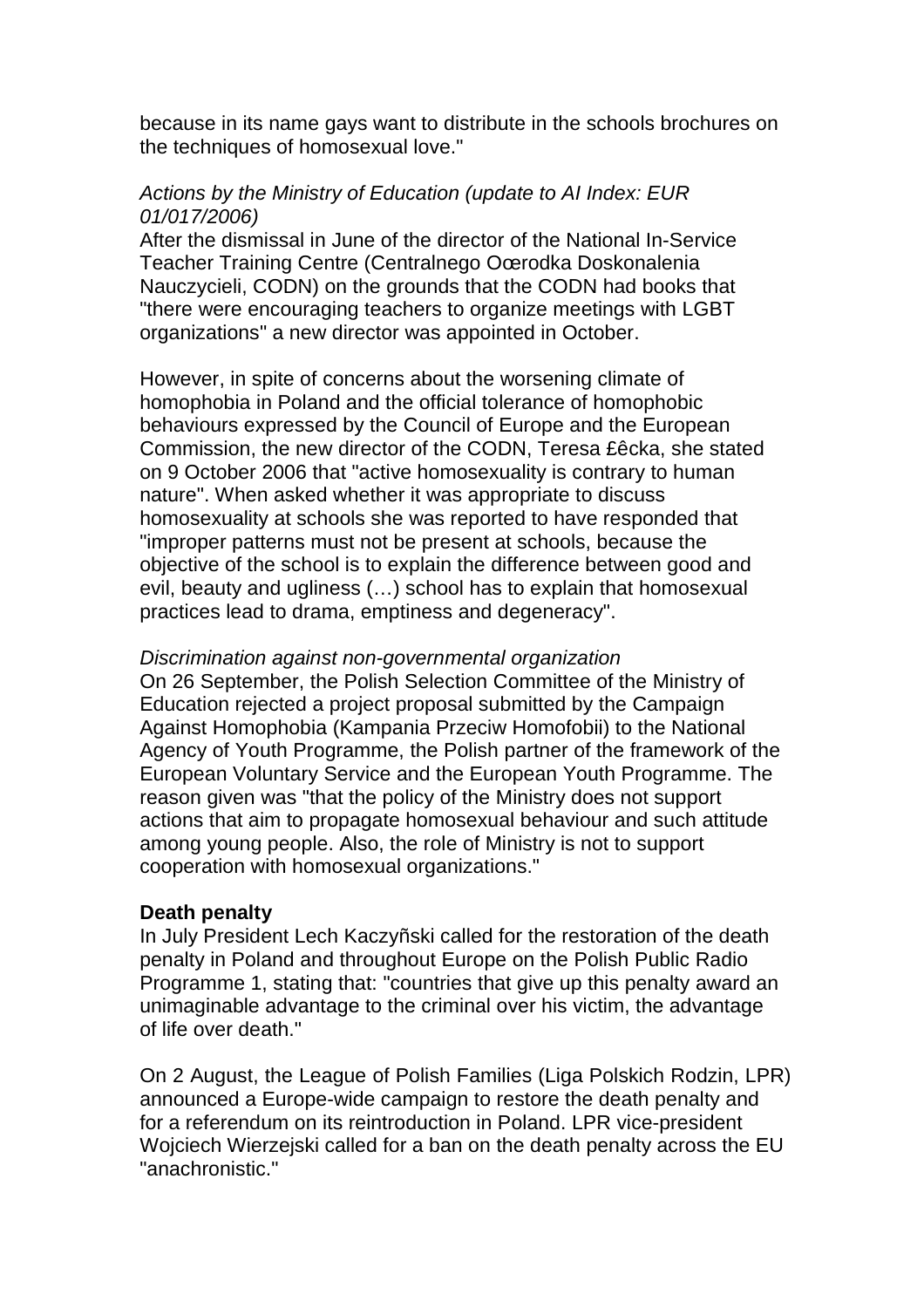because in its name gays want to distribute in the schools brochures on the techniques of homosexual love."

### Actions by the Ministry of Education (update to AI Index: EUR 01/017/2006)

After the dismissal in June of the director of the National In-Service Teacher Training Centre (Centralnego Oœrodka Doskonalenia Nauczycieli, CODN) on the grounds that the CODN had books that "there were encouraging teachers to organize meetings with LGBT organizations" a new director was appointed in October.

However, in spite of concerns about the worsening climate of homophobia in Poland and the official tolerance of homophobic behaviours expressed by the Council of Europe and the European Commission, the new director of the CODN, Teresa £êcka, she stated on 9 October 2006 that "active homosexuality is contrary to human nature". When asked whether it was appropriate to discuss homosexuality at schools she was reported to have responded that "improper patterns must not be present at schools, because the objective of the school is to explain the difference between good and evil, beauty and ugliness (…) school has to explain that homosexual practices lead to drama, emptiness and degeneracy".

#### Discrimination against non-governmental organization

On 26 September, the Polish Selection Committee of the Ministry of Education rejected a project proposal submitted by the Campaign Against Homophobia (Kampania Przeciw Homofobii) to the National Agency of Youth Programme, the Polish partner of the framework of the European Voluntary Service and the European Youth Programme. The reason given was "that the policy of the Ministry does not support actions that aim to propagate homosexual behaviour and such attitude among young people. Also, the role of Ministry is not to support cooperation with homosexual organizations."

#### **Death penalty**

In July President Lech Kaczyñski called for the restoration of the death penalty in Poland and throughout Europe on the Polish Public Radio Programme 1, stating that: "countries that give up this penalty award an unimaginable advantage to the criminal over his victim, the advantage of life over death."

On 2 August, the League of Polish Families (Liga Polskich Rodzin, LPR) announced a Europe-wide campaign to restore the death penalty and for a referendum on its reintroduction in Poland. LPR vice-president Wojciech Wierzejski called for a ban on the death penalty across the EU "anachronistic."